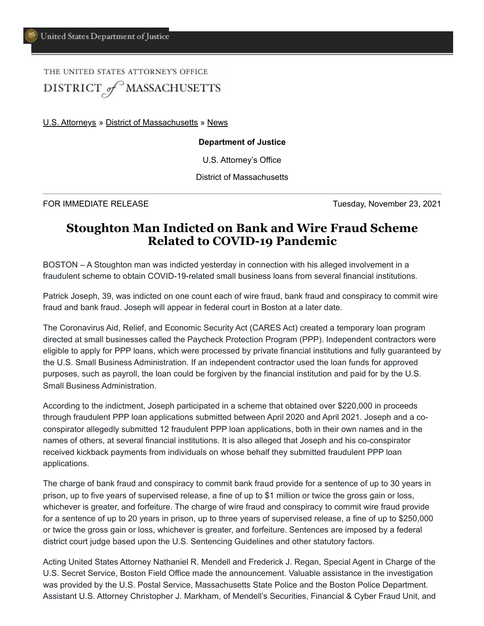## THE UNITED STATES ATTORNEYS OFFICE DISTRICT of MASSACHUSETTS

[U.S. Attorneys](https://www.justice.gov/usao) » [District of Massachusetts](https://www.justice.gov/usao-ma) » [News](https://www.justice.gov/usao-ma/pr)

## **Department of Justice**

U.S. Attorney's Office

District of Massachusetts

FOR IMMEDIATE RELEASE Tuesday, November 23, 2021

## **Stoughton Man Indicted on Bank and Wire Fraud Scheme Related to COVID-19 Pandemic**

BOSTON – A Stoughton man was indicted yesterday in connection with his alleged involvement in a fraudulent scheme to obtain COVID-19-related small business loans from several financial institutions.

Patrick Joseph, 39, was indicted on one count each of wire fraud, bank fraud and conspiracy to commit wire fraud and bank fraud. Joseph will appear in federal court in Boston at a later date.

The Coronavirus Aid, Relief, and Economic Security Act (CARES Act) created a temporary loan program directed at small businesses called the Paycheck Protection Program (PPP). Independent contractors were eligible to apply for PPP loans, which were processed by private financial institutions and fully guaranteed by the U.S. Small Business Administration. If an independent contractor used the loan funds for approved purposes, such as payroll, the loan could be forgiven by the financial institution and paid for by the U.S. Small Business Administration.

According to the indictment, Joseph participated in a scheme that obtained over \$220,000 in proceeds through fraudulent PPP loan applications submitted between April 2020 and April 2021. Joseph and a coconspirator allegedly submitted 12 fraudulent PPP loan applications, both in their own names and in the names of others, at several financial institutions. It is also alleged that Joseph and his co-conspirator received kickback payments from individuals on whose behalf they submitted fraudulent PPP loan applications.

The charge of bank fraud and conspiracy to commit bank fraud provide for a sentence of up to 30 years in prison, up to five years of supervised release, a fine of up to \$1 million or twice the gross gain or loss, whichever is greater, and forfeiture. The charge of wire fraud and conspiracy to commit wire fraud provide for a sentence of up to 20 years in prison, up to three years of supervised release, a fine of up to \$250,000 or twice the gross gain or loss, whichever is greater, and forfeiture. Sentences are imposed by a federal district court judge based upon the U.S. Sentencing Guidelines and other statutory factors.

Acting United States Attorney Nathaniel R. Mendell and Frederick J. Regan, Special Agent in Charge of the U.S. Secret Service, Boston Field Office made the announcement. Valuable assistance in the investigation was provided by the U.S. Postal Service, Massachusetts State Police and the Boston Police Department. Assistant U.S. Attorney Christopher J. Markham, of Mendell's Securities, Financial & Cyber Fraud Unit, and